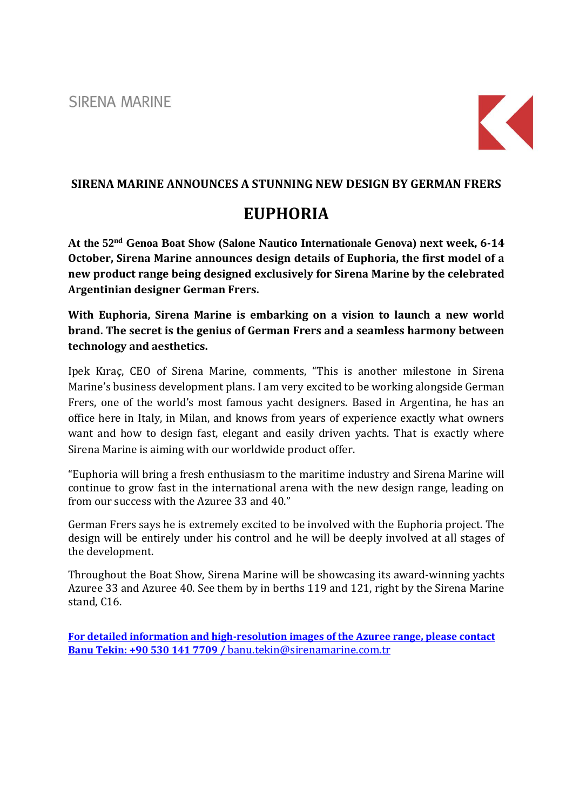**SIRENA MARINE** 



## **SIRENA MARINE ANNOUNCES A STUNNING NEW DESIGN BY GERMAN FRERS**

## **EUPHORIA**

**At the 52nd Genoa Boat Show (Salone Nautico Internationale Genova) next week, 6-14 October, Sirena Marine announces design details of Euphoria, the first model of a new product range being designed exclusively for Sirena Marine by the celebrated Argentinian designer German Frers.** 

**With Euphoria, Sirena Marine is embarking on a vision to launch a new world brand. The secret is the genius of German Frers and a seamless harmony between technology and aesthetics.** 

Ipek Kıraç, CEO of Sirena Marine, comments, "This is another milestone in Sirena Marine's business development plans. I am very excited to be working alongside German Frers, one of the world's most famous yacht designers. Based in Argentina, he has an office here in Italy, in Milan, and knows from years of experience exactly what owners want and how to design fast, elegant and easily driven yachts. That is exactly where Sirena Marine is aiming with our worldwide product offer.

"Euphoria will bring a fresh enthusiasm to the maritime industry and Sirena Marine will continue to grow fast in the international arena with the new design range, leading on from our success with the Azuree 33 and 40."

German Frers says he is extremely excited to be involved with the Euphoria project. The design will be entirely under his control and he will be deeply involved at all stages of the development.

Throughout the Boat Show, Sirena Marine will be showcasing its award-winning yachts Azuree 33 and Azuree 40. See them by in berths 119 and 121, right by the Sirena Marine stand, C16.

**For detailed information and high-resolution images of the Azuree range, please contact Banu Tekin: +90 530 141 7709 /** [banu.tekin@sirenamarine.com.tr](mailto:banu.tekin@sirenamarine.com.tr)